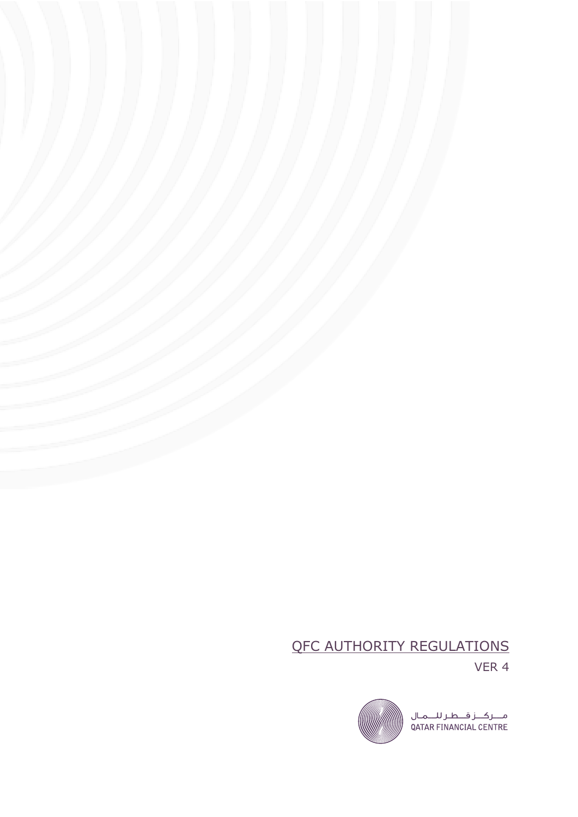# QFC AUTHORITY REGULATIONS

VER 4

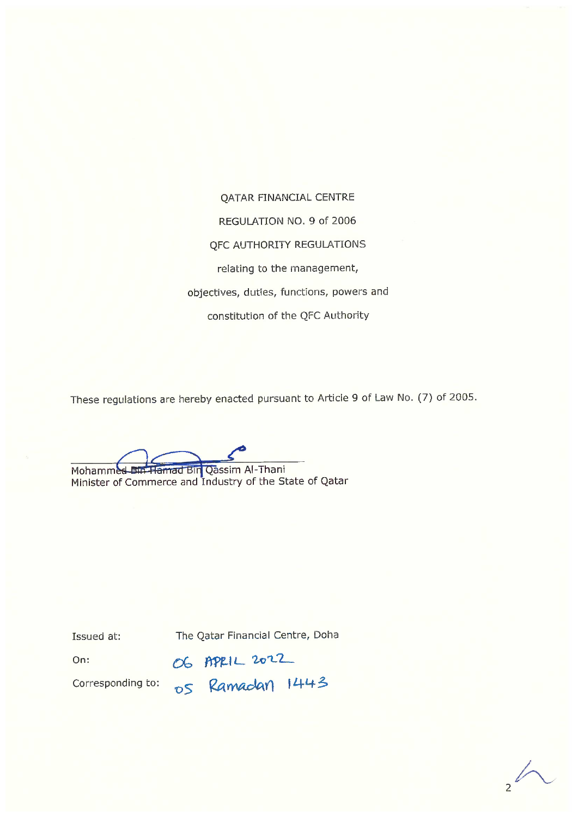**QATAR FINANCIAL CENTRE** REGULATION NO. 9 of 2006 **QFC AUTHORITY REGULATIONS** relating to the management, objectives, duties, functions, powers and constitution of the QFC Authority

These regulations are hereby enacted pursuant to Article 9 of Law No. (7) of 2005.

Mohammed Bin Hamad Bin Qassim Al-Thani

Minister of Commerce and Industry of the State of Qatar

Issued at:

The Qatar Financial Centre, Doha

On:

Corresponding to:

OG APRIL 2022<br>OS Ramadan 1443

 $\frac{1}{2}$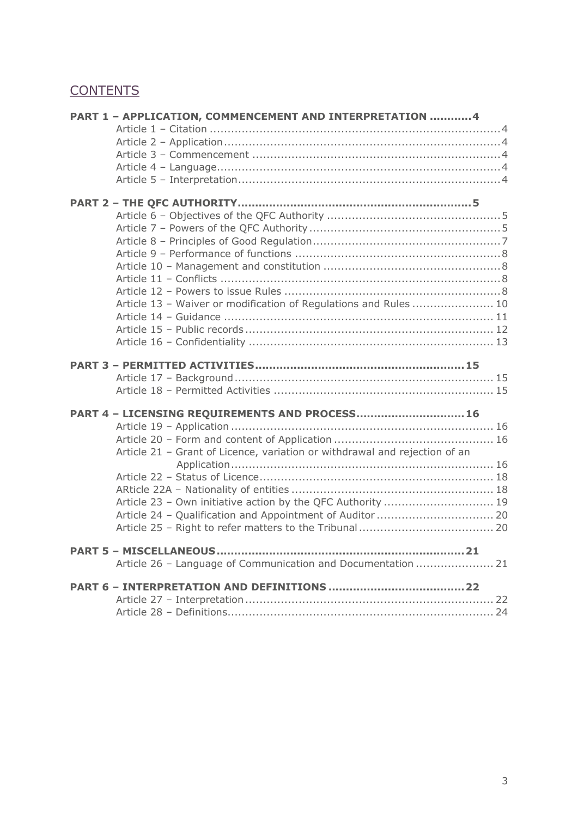# **CONTENTS**

| PART 1 - APPLICATION, COMMENCEMENT AND INTERPRETATION 4                    |  |
|----------------------------------------------------------------------------|--|
|                                                                            |  |
|                                                                            |  |
|                                                                            |  |
|                                                                            |  |
|                                                                            |  |
|                                                                            |  |
|                                                                            |  |
|                                                                            |  |
|                                                                            |  |
|                                                                            |  |
|                                                                            |  |
|                                                                            |  |
|                                                                            |  |
|                                                                            |  |
| Article 13 - Waiver or modification of Regulations and Rules  10           |  |
|                                                                            |  |
|                                                                            |  |
|                                                                            |  |
|                                                                            |  |
|                                                                            |  |
|                                                                            |  |
|                                                                            |  |
|                                                                            |  |
|                                                                            |  |
| PART 4 - LICENSING REQUIREMENTS AND PROCESS 16                             |  |
|                                                                            |  |
|                                                                            |  |
| Article 21 - Grant of Licence, variation or withdrawal and rejection of an |  |
|                                                                            |  |
|                                                                            |  |
|                                                                            |  |
| Article 23 - Own initiative action by the QFC Authority  19                |  |
|                                                                            |  |
|                                                                            |  |
|                                                                            |  |
| Article 26 - Language of Communication and Documentation  21               |  |
|                                                                            |  |
|                                                                            |  |
|                                                                            |  |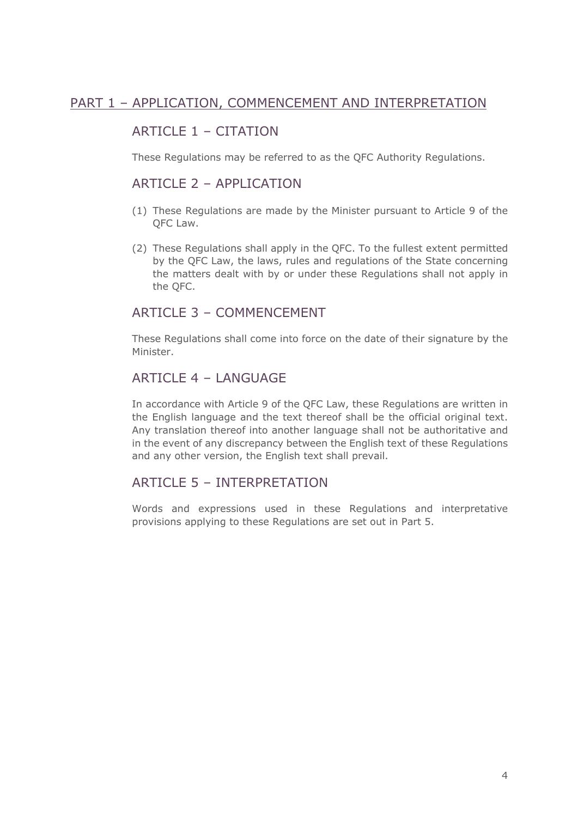#### PART 1 – APPLICATION, COMMENCEMENT AND INTERPRETATION

## ARTICLE 1 – CITATION

These Regulations may be referred to as the QFC Authority Regulations.

#### ARTICLE 2 – APPLICATION

- (1) These Regulations are made by the Minister pursuant to Article 9 of the QFC Law.
- (2) These Regulations shall apply in the QFC. To the fullest extent permitted by the QFC Law, the laws, rules and regulations of the State concerning the matters dealt with by or under these Regulations shall not apply in the QFC.

#### ARTICLE 3 - COMMENCEMENT

These Regulations shall come into force on the date of their signature by the Minister.

#### ARTICLE  $4 - I$  ANGUAGE

In accordance with Article 9 of the QFC Law, these Regulations are written in the English language and the text thereof shall be the official original text. Any translation thereof into another language shall not be authoritative and in the event of any discrepancy between the English text of these Regulations and any other version, the English text shall prevail.

#### ARTICLE 5 – INTERPRETATION

Words and expressions used in these Regulations and interpretative provisions applying to these Regulations are set out in Part 5.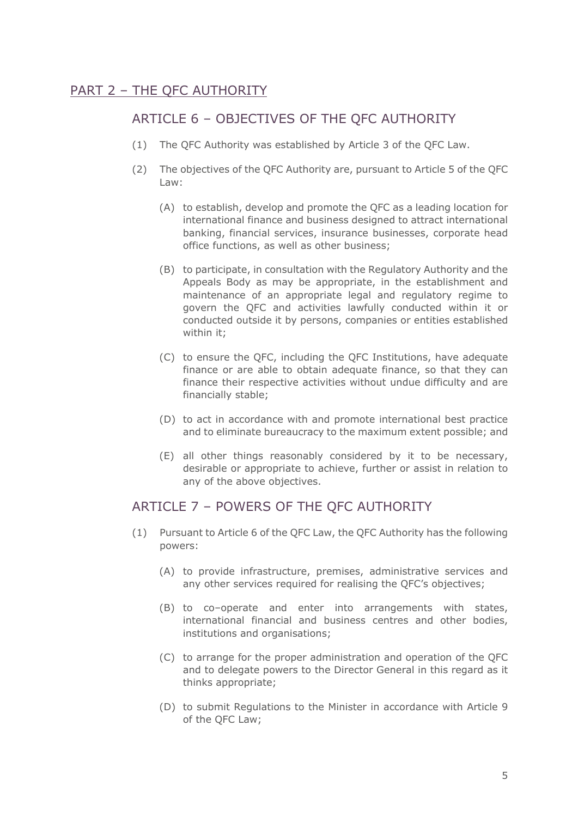## PART 2 – THE QFC AUTHORITY

## ARTICLE 6 – OBJECTIVES OF THE QFC AUTHORITY

- (1) The QFC Authority was established by Article 3 of the QFC Law.
- (2) The objectives of the QFC Authority are, pursuant to Article 5 of the QFC Law:
	- (A) to establish, develop and promote the QFC as a leading location for international finance and business designed to attract international banking, financial services, insurance businesses, corporate head office functions, as well as other business;
	- (B) to participate, in consultation with the Regulatory Authority and the Appeals Body as may be appropriate, in the establishment and maintenance of an appropriate legal and regulatory regime to govern the QFC and activities lawfully conducted within it or conducted outside it by persons, companies or entities established within it;
	- (C) to ensure the QFC, including the QFC Institutions, have adequate finance or are able to obtain adequate finance, so that they can finance their respective activities without undue difficulty and are financially stable;
	- (D) to act in accordance with and promote international best practice and to eliminate bureaucracy to the maximum extent possible; and
	- (E) all other things reasonably considered by it to be necessary, desirable or appropriate to achieve, further or assist in relation to any of the above objectives.

#### ARTICLE 7 – POWERS OF THE QFC AUTHORITY

- (1) Pursuant to Article 6 of the QFC Law, the QFC Authority has the following powers:
	- (A) to provide infrastructure, premises, administrative services and any other services required for realising the QFC's objectives;
	- (B) to co–operate and enter into arrangements with states, international financial and business centres and other bodies, institutions and organisations;
	- (C) to arrange for the proper administration and operation of the QFC and to delegate powers to the Director General in this regard as it thinks appropriate;
	- (D) to submit Regulations to the Minister in accordance with Article 9 of the QFC Law;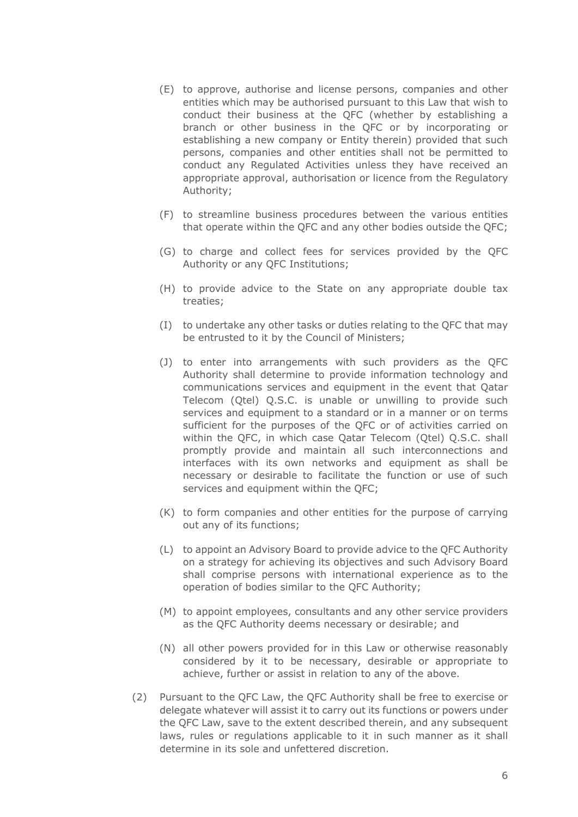- (E) to approve, authorise and license persons, companies and other entities which may be authorised pursuant to this Law that wish to conduct their business at the QFC (whether by establishing a branch or other business in the QFC or by incorporating or establishing a new company or Entity therein) provided that such persons, companies and other entities shall not be permitted to conduct any Regulated Activities unless they have received an appropriate approval, authorisation or licence from the Regulatory Authority;
- (F) to streamline business procedures between the various entities that operate within the QFC and any other bodies outside the QFC;
- (G) to charge and collect fees for services provided by the QFC Authority or any QFC Institutions;
- (H) to provide advice to the State on any appropriate double tax treaties;
- (I) to undertake any other tasks or duties relating to the QFC that may be entrusted to it by the Council of Ministers;
- (J) to enter into arrangements with such providers as the QFC Authority shall determine to provide information technology and communications services and equipment in the event that Qatar Telecom (Qtel) Q.S.C. is unable or unwilling to provide such services and equipment to a standard or in a manner or on terms sufficient for the purposes of the QFC or of activities carried on within the QFC, in which case Qatar Telecom (Qtel) Q.S.C. shall promptly provide and maintain all such interconnections and interfaces with its own networks and equipment as shall be necessary or desirable to facilitate the function or use of such services and equipment within the QFC;
- (K) to form companies and other entities for the purpose of carrying out any of its functions;
- (L) to appoint an Advisory Board to provide advice to the QFC Authority on a strategy for achieving its objectives and such Advisory Board shall comprise persons with international experience as to the operation of bodies similar to the QFC Authority;
- (M) to appoint employees, consultants and any other service providers as the QFC Authority deems necessary or desirable; and
- (N) all other powers provided for in this Law or otherwise reasonably considered by it to be necessary, desirable or appropriate to achieve, further or assist in relation to any of the above.
- (2) Pursuant to the QFC Law, the QFC Authority shall be free to exercise or delegate whatever will assist it to carry out its functions or powers under the QFC Law, save to the extent described therein, and any subsequent laws, rules or regulations applicable to it in such manner as it shall determine in its sole and unfettered discretion.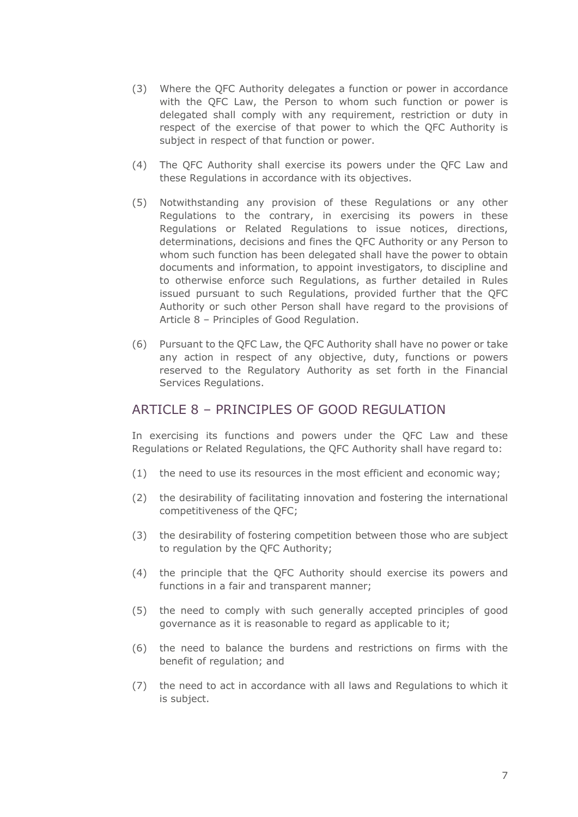- (3) Where the QFC Authority delegates a function or power in accordance with the QFC Law, the Person to whom such function or power is delegated shall comply with any requirement, restriction or duty in respect of the exercise of that power to which the QFC Authority is subject in respect of that function or power.
- (4) The QFC Authority shall exercise its powers under the QFC Law and these Regulations in accordance with its objectives.
- (5) Notwithstanding any provision of these Regulations or any other Regulations to the contrary, in exercising its powers in these Regulations or Related Regulations to issue notices, directions, determinations, decisions and fines the QFC Authority or any Person to whom such function has been delegated shall have the power to obtain documents and information, to appoint investigators, to discipline and to otherwise enforce such Regulations, as further detailed in Rules issued pursuant to such Regulations, provided further that the QFC Authority or such other Person shall have regard to the provisions of Article 8 – Principles of Good Regulation.
- (6) Pursuant to the QFC Law, the QFC Authority shall have no power or take any action in respect of any objective, duty, functions or powers reserved to the Regulatory Authority as set forth in the Financial Services Regulations.

#### ARTICLE 8 - PRINCIPLES OF GOOD REGULATION

In exercising its functions and powers under the QFC Law and these Regulations or Related Regulations, the QFC Authority shall have regard to:

- (1) the need to use its resources in the most efficient and economic way;
- (2) the desirability of facilitating innovation and fostering the international competitiveness of the QFC;
- (3) the desirability of fostering competition between those who are subject to regulation by the QFC Authority;
- (4) the principle that the QFC Authority should exercise its powers and functions in a fair and transparent manner;
- (5) the need to comply with such generally accepted principles of good governance as it is reasonable to regard as applicable to it;
- (6) the need to balance the burdens and restrictions on firms with the benefit of regulation; and
- (7) the need to act in accordance with all laws and Regulations to which it is subject.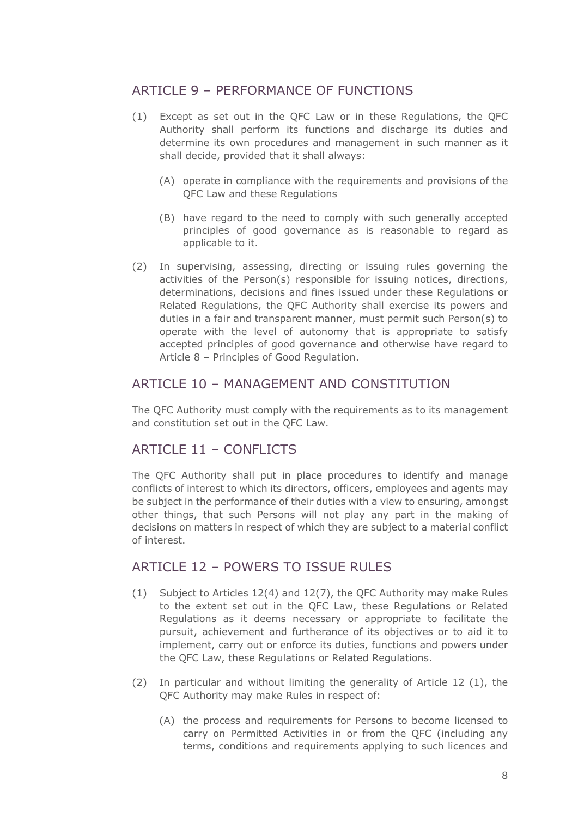## ARTICLE 9 – PERFORMANCE OF FUNCTIONS

- (1) Except as set out in the QFC Law or in these Regulations, the QFC Authority shall perform its functions and discharge its duties and determine its own procedures and management in such manner as it shall decide, provided that it shall always:
	- (A) operate in compliance with the requirements and provisions of the QFC Law and these Regulations
	- (B) have regard to the need to comply with such generally accepted principles of good governance as is reasonable to regard as applicable to it.
- (2) In supervising, assessing, directing or issuing rules governing the activities of the Person(s) responsible for issuing notices, directions, determinations, decisions and fines issued under these Regulations or Related Regulations, the QFC Authority shall exercise its powers and duties in a fair and transparent manner, must permit such Person(s) to operate with the level of autonomy that is appropriate to satisfy accepted principles of good governance and otherwise have regard to Article 8 – Principles of Good Regulation.

## ARTICLE 10 - MANAGEMENT AND CONSTITUTION

The QFC Authority must comply with the requirements as to its management and constitution set out in the QFC Law.

## ARTICLE 11 – CONFLICTS

The QFC Authority shall put in place procedures to identify and manage conflicts of interest to which its directors, officers, employees and agents may be subject in the performance of their duties with a view to ensuring, amongst other things, that such Persons will not play any part in the making of decisions on matters in respect of which they are subject to a material conflict of interest.

## ARTICLE 12 – POWERS TO ISSUE RULES

- (1) Subject to Articles 12(4) and 12(7), the QFC Authority may make Rules to the extent set out in the QFC Law, these Regulations or Related Regulations as it deems necessary or appropriate to facilitate the pursuit, achievement and furtherance of its objectives or to aid it to implement, carry out or enforce its duties, functions and powers under the QFC Law, these Regulations or Related Regulations.
- (2) In particular and without limiting the generality of Article 12 (1), the QFC Authority may make Rules in respect of:
	- (A) the process and requirements for Persons to become licensed to carry on Permitted Activities in or from the QFC (including any terms, conditions and requirements applying to such licences and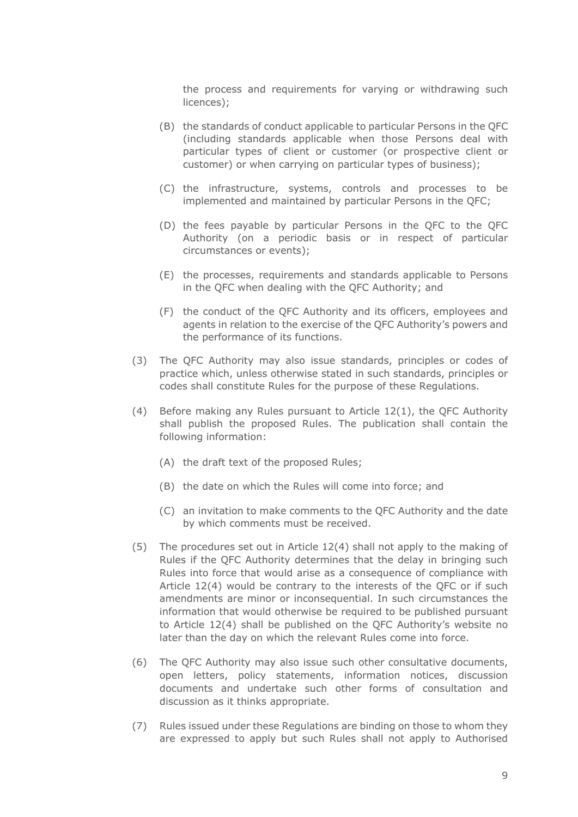the process and requirements for varying or withdrawing such licences);

- (B) the standards of conduct applicable to particular Persons in the QFC (including standards applicable when those Persons deal with particular types of client or customer (or prospective client or customer) or when carrying on particular types of business);
- (C) the infrastructure, systems, controls and processes to be implemented and maintained by particular Persons in the QFC;
- (D) the fees payable by particular Persons in the QFC to the QFC Authority (on a periodic basis or in respect of particular circumstances or events);
- (E) the processes, requirements and standards applicable to Persons in the QFC when dealing with the QFC Authority; and
- (F) the conduct of the QFC Authority and its officers, employees and agents in relation to the exercise of the QFC Authority's powers and the performance of its functions.
- (3) The QFC Authority may also issue standards, principles or codes of practice which, unless otherwise stated in such standards, principles or codes shall constitute Rules for the purpose of these Regulations.
- (4) Before making any Rules pursuant to Article 12(1), the QFC Authority shall publish the proposed Rules. The publication shall contain the following information:
	- (A) the draft text of the proposed Rules;
	- (B) the date on which the Rules will come into force; and
	- (C) an invitation to make comments to the QFC Authority and the date by which comments must be received.
- (5) The procedures set out in Article 12(4) shall not apply to the making of Rules if the QFC Authority determines that the delay in bringing such Rules into force that would arise as a consequence of compliance with Article 12(4) would be contrary to the interests of the QFC or if such amendments are minor or inconsequential. In such circumstances the information that would otherwise be required to be published pursuant to Article 12(4) shall be published on the QFC Authority's website no later than the day on which the relevant Rules come into force.
- (6) The QFC Authority may also issue such other consultative documents, open letters, policy statements, information notices, discussion documents and undertake such other forms of consultation and discussion as it thinks appropriate.
- (7) Rules issued under these Regulations are binding on those to whom they are expressed to apply but such Rules shall not apply to Authorised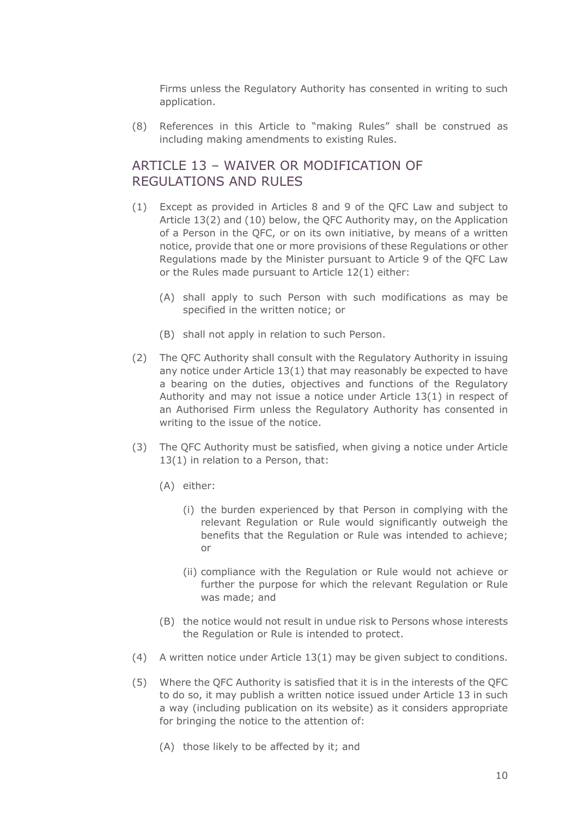Firms unless the Regulatory Authority has consented in writing to such application.

(8) References in this Article to "making Rules" shall be construed as including making amendments to existing Rules.

## ARTICLE 13 – WAIVER OR MODIFICATION OF REGULATIONS AND RULES

- (1) Except as provided in Articles 8 and 9 of the QFC Law and subject to Article 13(2) and (10) below, the QFC Authority may, on the Application of a Person in the QFC, or on its own initiative, by means of a written notice, provide that one or more provisions of these Regulations or other Regulations made by the Minister pursuant to Article 9 of the QFC Law or the Rules made pursuant to Article 12(1) either:
	- (A) shall apply to such Person with such modifications as may be specified in the written notice; or
	- (B) shall not apply in relation to such Person.
- (2) The QFC Authority shall consult with the Regulatory Authority in issuing any notice under Article 13(1) that may reasonably be expected to have a bearing on the duties, objectives and functions of the Regulatory Authority and may not issue a notice under Article 13(1) in respect of an Authorised Firm unless the Regulatory Authority has consented in writing to the issue of the notice.
- (3) The QFC Authority must be satisfied, when giving a notice under Article 13(1) in relation to a Person, that:
	- (A) either:
		- (i) the burden experienced by that Person in complying with the relevant Regulation or Rule would significantly outweigh the benefits that the Regulation or Rule was intended to achieve; or
		- (ii) compliance with the Regulation or Rule would not achieve or further the purpose for which the relevant Regulation or Rule was made; and
	- (B) the notice would not result in undue risk to Persons whose interests the Regulation or Rule is intended to protect.
- (4) A written notice under Article 13(1) may be given subject to conditions.
- (5) Where the QFC Authority is satisfied that it is in the interests of the QFC to do so, it may publish a written notice issued under Article 13 in such a way (including publication on its website) as it considers appropriate for bringing the notice to the attention of:
	- (A) those likely to be affected by it; and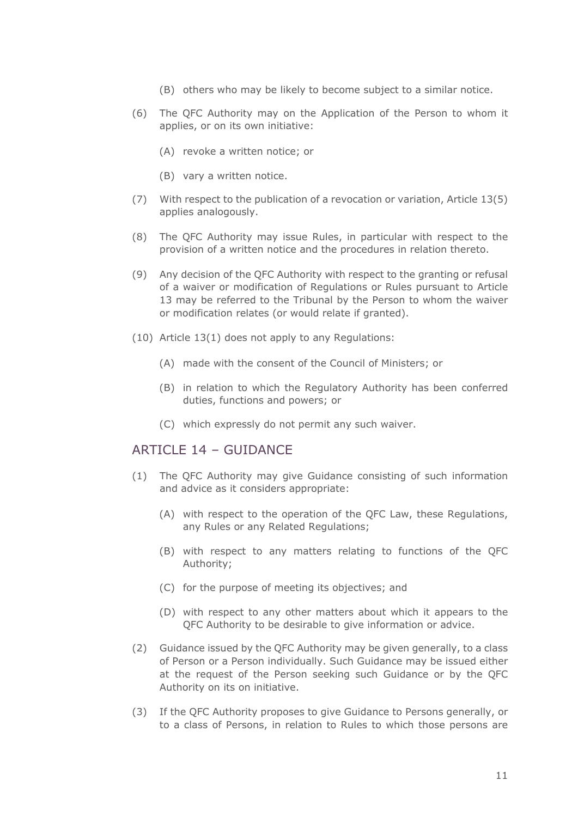- (B) others who may be likely to become subject to a similar notice.
- (6) The QFC Authority may on the Application of the Person to whom it applies, or on its own initiative:
	- (A) revoke a written notice; or
	- (B) vary a written notice.
- (7) With respect to the publication of a revocation or variation, Article 13(5) applies analogously.
- (8) The QFC Authority may issue Rules, in particular with respect to the provision of a written notice and the procedures in relation thereto.
- (9) Any decision of the QFC Authority with respect to the granting or refusal of a waiver or modification of Regulations or Rules pursuant to Article 13 may be referred to the Tribunal by the Person to whom the waiver or modification relates (or would relate if granted).
- (10) Article 13(1) does not apply to any Regulations:
	- (A) made with the consent of the Council of Ministers; or
	- (B) in relation to which the Regulatory Authority has been conferred duties, functions and powers; or
	- (C) which expressly do not permit any such waiver.

#### ARTICLE 14 – GUIDANCE

- (1) The QFC Authority may give Guidance consisting of such information and advice as it considers appropriate:
	- (A) with respect to the operation of the QFC Law, these Regulations, any Rules or any Related Regulations;
	- (B) with respect to any matters relating to functions of the QFC Authority;
	- (C) for the purpose of meeting its objectives; and
	- (D) with respect to any other matters about which it appears to the QFC Authority to be desirable to give information or advice.
- (2) Guidance issued by the QFC Authority may be given generally, to a class of Person or a Person individually. Such Guidance may be issued either at the request of the Person seeking such Guidance or by the QFC Authority on its on initiative.
- (3) If the QFC Authority proposes to give Guidance to Persons generally, or to a class of Persons, in relation to Rules to which those persons are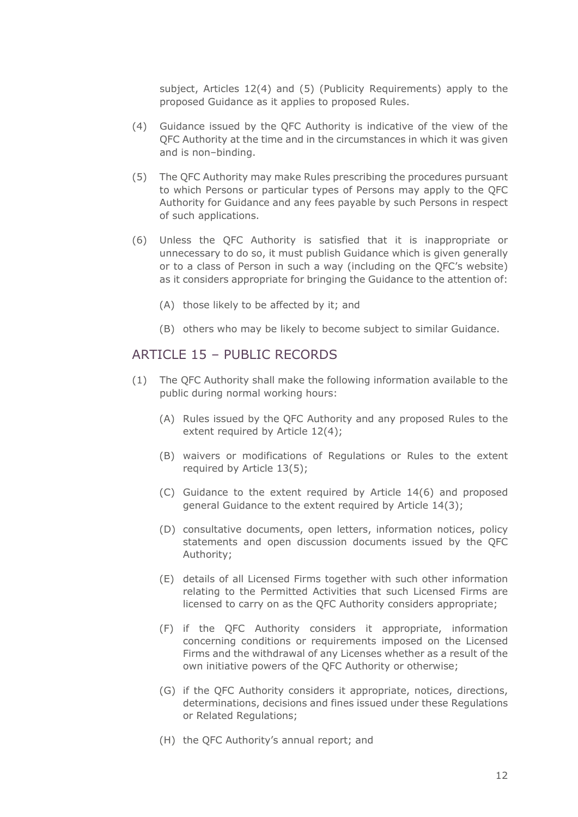subject, Articles 12(4) and (5) (Publicity Requirements) apply to the proposed Guidance as it applies to proposed Rules.

- (4) Guidance issued by the QFC Authority is indicative of the view of the QFC Authority at the time and in the circumstances in which it was given and is non–binding.
- (5) The QFC Authority may make Rules prescribing the procedures pursuant to which Persons or particular types of Persons may apply to the QFC Authority for Guidance and any fees payable by such Persons in respect of such applications.
- (6) Unless the QFC Authority is satisfied that it is inappropriate or unnecessary to do so, it must publish Guidance which is given generally or to a class of Person in such a way (including on the QFC's website) as it considers appropriate for bringing the Guidance to the attention of:
	- (A) those likely to be affected by it; and
	- (B) others who may be likely to become subject to similar Guidance.

#### ARTICLE 15 – PUBLIC RECORDS

- (1) The QFC Authority shall make the following information available to the public during normal working hours:
	- (A) Rules issued by the QFC Authority and any proposed Rules to the extent required by Article 12(4);
	- (B) waivers or modifications of Regulations or Rules to the extent required by Article 13(5);
	- (C) Guidance to the extent required by Article 14(6) and proposed general Guidance to the extent required by Article 14(3);
	- (D) consultative documents, open letters, information notices, policy statements and open discussion documents issued by the QFC Authority;
	- (E) details of all Licensed Firms together with such other information relating to the Permitted Activities that such Licensed Firms are licensed to carry on as the QFC Authority considers appropriate;
	- (F) if the QFC Authority considers it appropriate, information concerning conditions or requirements imposed on the Licensed Firms and the withdrawal of any Licenses whether as a result of the own initiative powers of the QFC Authority or otherwise;
	- (G) if the QFC Authority considers it appropriate, notices, directions, determinations, decisions and fines issued under these Regulations or Related Regulations;
	- (H) the QFC Authority's annual report; and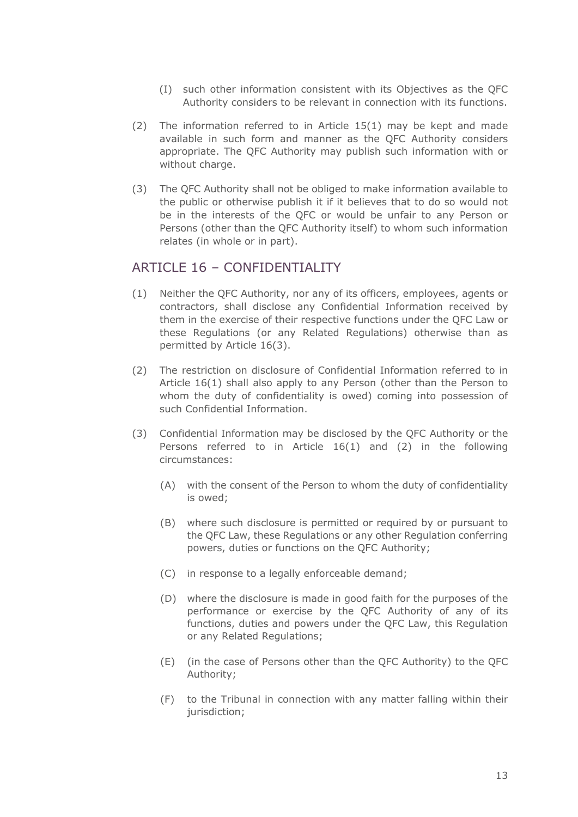- (I) such other information consistent with its Objectives as the QFC Authority considers to be relevant in connection with its functions.
- (2) The information referred to in Article 15(1) may be kept and made available in such form and manner as the QFC Authority considers appropriate. The QFC Authority may publish such information with or without charge.
- (3) The QFC Authority shall not be obliged to make information available to the public or otherwise publish it if it believes that to do so would not be in the interests of the QFC or would be unfair to any Person or Persons (other than the QFC Authority itself) to whom such information relates (in whole or in part).

#### ARTICLE 16 - CONFIDENTIALITY

- (1) Neither the QFC Authority, nor any of its officers, employees, agents or contractors, shall disclose any Confidential Information received by them in the exercise of their respective functions under the QFC Law or these Regulations (or any Related Regulations) otherwise than as permitted by Article 16(3).
- (2) The restriction on disclosure of Confidential Information referred to in Article 16(1) shall also apply to any Person (other than the Person to whom the duty of confidentiality is owed) coming into possession of such Confidential Information.
- (3) Confidential Information may be disclosed by the QFC Authority or the Persons referred to in Article 16(1) and (2) in the following circumstances:
	- (A) with the consent of the Person to whom the duty of confidentiality is owed;
	- (B) where such disclosure is permitted or required by or pursuant to the QFC Law, these Regulations or any other Regulation conferring powers, duties or functions on the QFC Authority;
	- (C) in response to a legally enforceable demand;
	- (D) where the disclosure is made in good faith for the purposes of the performance or exercise by the QFC Authority of any of its functions, duties and powers under the QFC Law, this Regulation or any Related Regulations;
	- (E) (in the case of Persons other than the QFC Authority) to the QFC Authority;
	- (F) to the Tribunal in connection with any matter falling within their jurisdiction;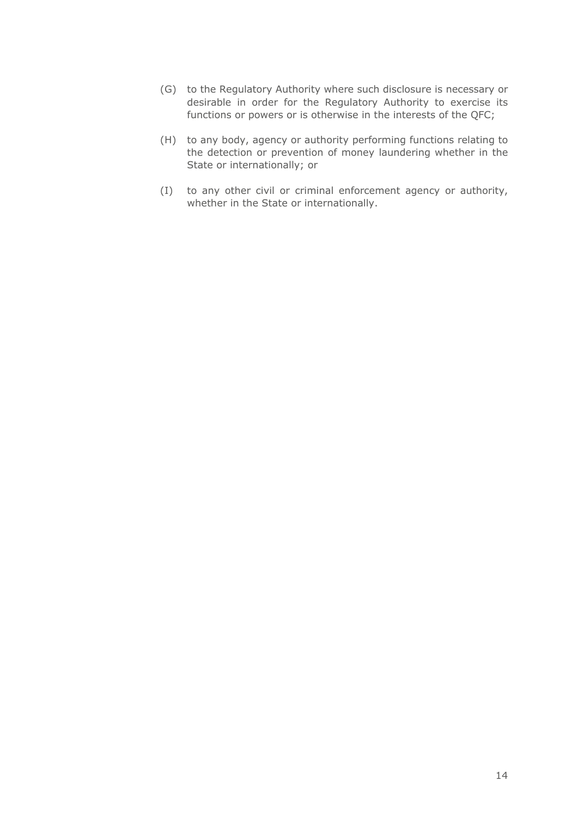- (G) to the Regulatory Authority where such disclosure is necessary or desirable in order for the Regulatory Authority to exercise its functions or powers or is otherwise in the interests of the QFC;
- (H) to any body, agency or authority performing functions relating to the detection or prevention of money laundering whether in the State or internationally; or
- (I) to any other civil or criminal enforcement agency or authority, whether in the State or internationally.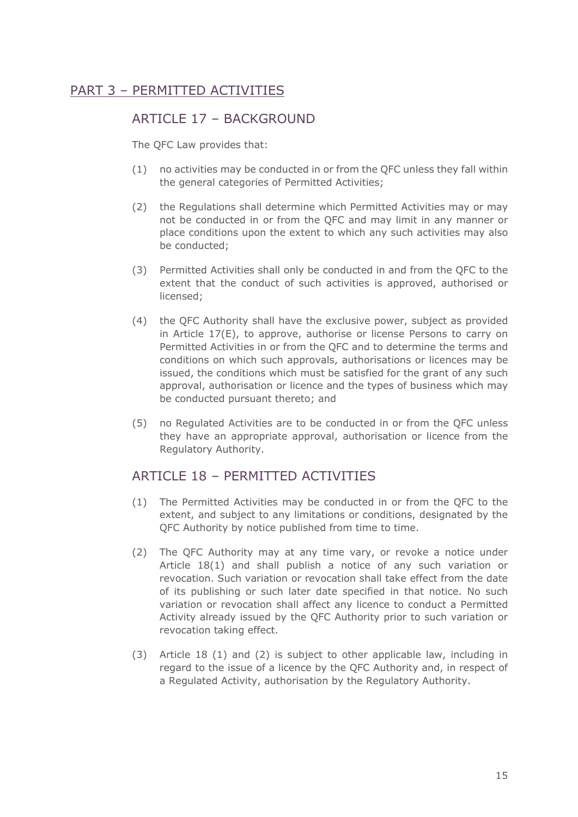## PART 3 – PERMITTED ACTIVITIES

#### ARTICLE 17 - BACKGROUND

The QFC Law provides that:

- (1) no activities may be conducted in or from the QFC unless they fall within the general categories of Permitted Activities;
- (2) the Regulations shall determine which Permitted Activities may or may not be conducted in or from the QFC and may limit in any manner or place conditions upon the extent to which any such activities may also be conducted;
- (3) Permitted Activities shall only be conducted in and from the QFC to the extent that the conduct of such activities is approved, authorised or licensed;
- (4) the QFC Authority shall have the exclusive power, subject as provided in Article 17(E), to approve, authorise or license Persons to carry on Permitted Activities in or from the QFC and to determine the terms and conditions on which such approvals, authorisations or licences may be issued, the conditions which must be satisfied for the grant of any such approval, authorisation or licence and the types of business which may be conducted pursuant thereto; and
- (5) no Regulated Activities are to be conducted in or from the QFC unless they have an appropriate approval, authorisation or licence from the Regulatory Authority.

#### ARTICLE 18 - PERMITTED ACTIVITIES

- (1) The Permitted Activities may be conducted in or from the QFC to the extent, and subject to any limitations or conditions, designated by the QFC Authority by notice published from time to time.
- (2) The QFC Authority may at any time vary, or revoke a notice under Article 18(1) and shall publish a notice of any such variation or revocation. Such variation or revocation shall take effect from the date of its publishing or such later date specified in that notice. No such variation or revocation shall affect any licence to conduct a Permitted Activity already issued by the QFC Authority prior to such variation or revocation taking effect.
- (3) Article 18 (1) and (2) is subject to other applicable law, including in regard to the issue of a licence by the QFC Authority and, in respect of a Regulated Activity, authorisation by the Regulatory Authority.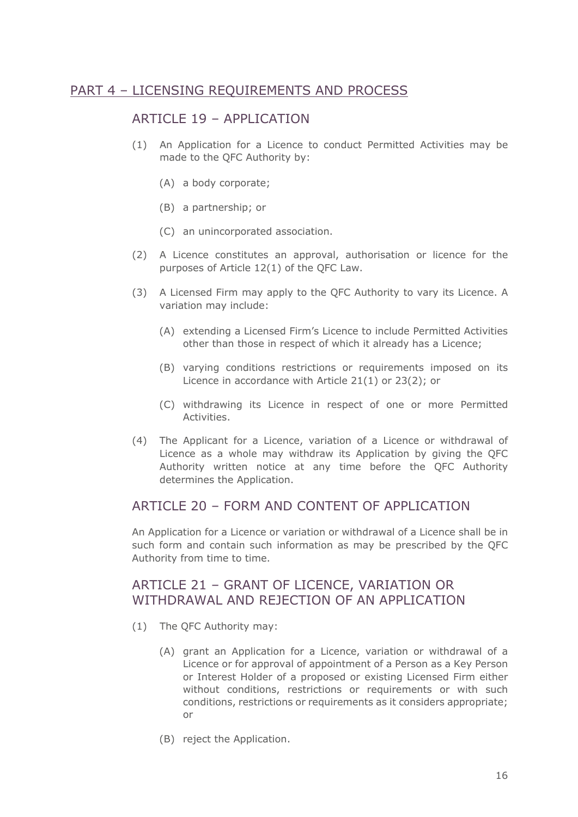#### PART 4 – LICENSING REQUIREMENTS AND PROCESS

#### ARTICLE 19 - APPLICATION

- (1) An Application for a Licence to conduct Permitted Activities may be made to the QFC Authority by:
	- (A) a body corporate;
	- (B) a partnership; or
	- (C) an unincorporated association.
- (2) A Licence constitutes an approval, authorisation or licence for the purposes of Article 12(1) of the QFC Law.
- (3) A Licensed Firm may apply to the QFC Authority to vary its Licence. A variation may include:
	- (A) extending a Licensed Firm's Licence to include Permitted Activities other than those in respect of which it already has a Licence;
	- (B) varying conditions restrictions or requirements imposed on its Licence in accordance with Article 21(1) or 23(2); or
	- (C) withdrawing its Licence in respect of one or more Permitted Activities.
- (4) The Applicant for a Licence, variation of a Licence or withdrawal of Licence as a whole may withdraw its Application by giving the QFC Authority written notice at any time before the QFC Authority determines the Application.

## ARTICLE 20 – FORM AND CONTENT OF APPLICATION

An Application for a Licence or variation or withdrawal of a Licence shall be in such form and contain such information as may be prescribed by the QFC Authority from time to time.

## ARTICLE 21 – GRANT OF LICENCE, VARIATION OR WITHDRAWAL AND REJECTION OF AN APPLICATION

- (1) The QFC Authority may:
	- (A) grant an Application for a Licence, variation or withdrawal of a Licence or for approval of appointment of a Person as a Key Person or Interest Holder of a proposed or existing Licensed Firm either without conditions, restrictions or requirements or with such conditions, restrictions or requirements as it considers appropriate; or
	- (B) reject the Application.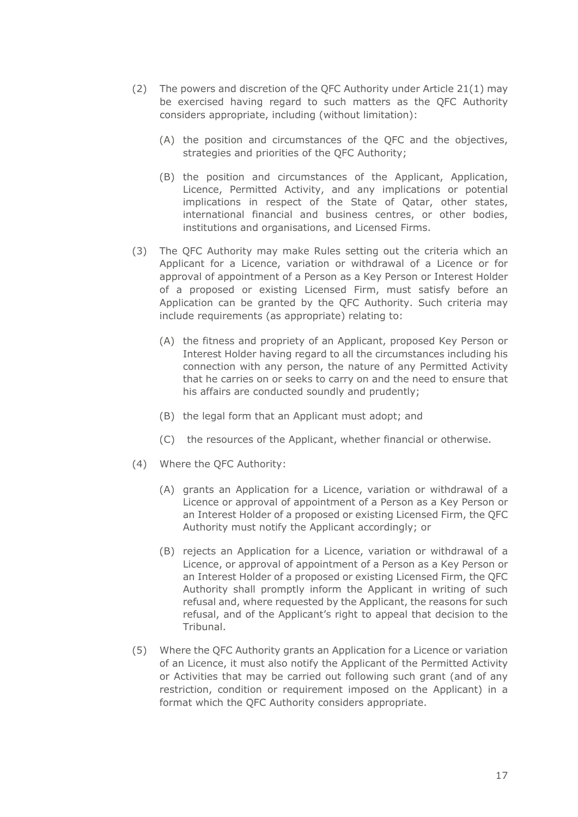- (2) The powers and discretion of the QFC Authority under Article 21(1) may be exercised having regard to such matters as the QFC Authority considers appropriate, including (without limitation):
	- (A) the position and circumstances of the QFC and the objectives, strategies and priorities of the QFC Authority;
	- (B) the position and circumstances of the Applicant, Application, Licence, Permitted Activity, and any implications or potential implications in respect of the State of Qatar, other states, international financial and business centres, or other bodies, institutions and organisations, and Licensed Firms.
- (3) The QFC Authority may make Rules setting out the criteria which an Applicant for a Licence, variation or withdrawal of a Licence or for approval of appointment of a Person as a Key Person or Interest Holder of a proposed or existing Licensed Firm, must satisfy before an Application can be granted by the QFC Authority. Such criteria may include requirements (as appropriate) relating to:
	- (A) the fitness and propriety of an Applicant, proposed Key Person or Interest Holder having regard to all the circumstances including his connection with any person, the nature of any Permitted Activity that he carries on or seeks to carry on and the need to ensure that his affairs are conducted soundly and prudently;
	- (B) the legal form that an Applicant must adopt; and
	- (C) the resources of the Applicant, whether financial or otherwise.
- (4) Where the QFC Authority:
	- (A) grants an Application for a Licence, variation or withdrawal of a Licence or approval of appointment of a Person as a Key Person or an Interest Holder of a proposed or existing Licensed Firm, the QFC Authority must notify the Applicant accordingly; or
	- (B) rejects an Application for a Licence, variation or withdrawal of a Licence, or approval of appointment of a Person as a Key Person or an Interest Holder of a proposed or existing Licensed Firm, the QFC Authority shall promptly inform the Applicant in writing of such refusal and, where requested by the Applicant, the reasons for such refusal, and of the Applicant's right to appeal that decision to the Tribunal.
- (5) Where the QFC Authority grants an Application for a Licence or variation of an Licence, it must also notify the Applicant of the Permitted Activity or Activities that may be carried out following such grant (and of any restriction, condition or requirement imposed on the Applicant) in a format which the QFC Authority considers appropriate.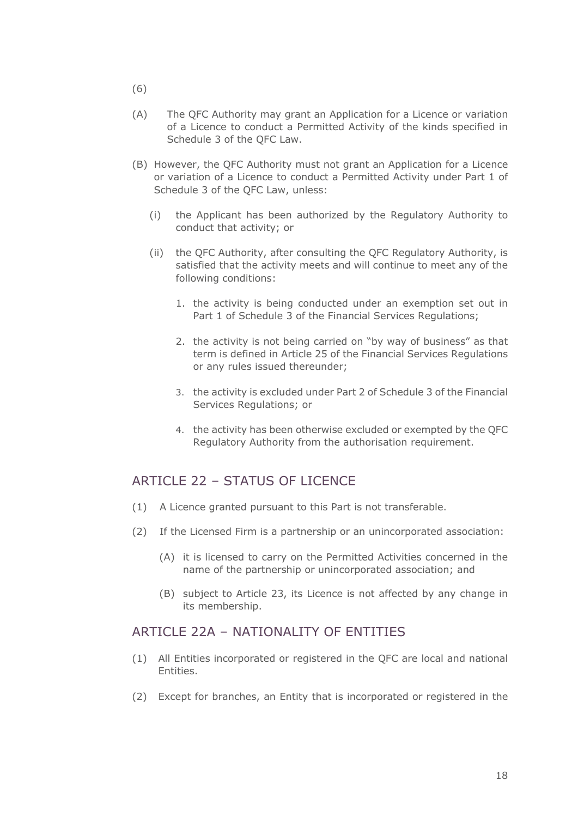- (6)
- (A) The QFC Authority may grant an Application for a Licence or variation of a Licence to conduct a Permitted Activity of the kinds specified in Schedule 3 of the QFC Law.
- (B) However, the QFC Authority must not grant an Application for a Licence or variation of a Licence to conduct a Permitted Activity under Part 1 of Schedule 3 of the QFC Law, unless:
	- (i) the Applicant has been authorized by the Regulatory Authority to conduct that activity; or
	- (ii) the QFC Authority, after consulting the QFC Regulatory Authority, is satisfied that the activity meets and will continue to meet any of the following conditions:
		- 1. the activity is being conducted under an exemption set out in Part 1 of Schedule 3 of the Financial Services Regulations;
		- 2. the activity is not being carried on "by way of business" as that term is defined in Article 25 of the Financial Services Regulations or any rules issued thereunder;
		- 3. the activity is excluded under Part 2 of Schedule 3 of the Financial Services Regulations; or
		- 4. the activity has been otherwise excluded or exempted by the QFC Regulatory Authority from the authorisation requirement.

## ARTICLE 22 – STATUS OF LICENCE

- (1) A Licence granted pursuant to this Part is not transferable.
- (2) If the Licensed Firm is a partnership or an unincorporated association:
	- (A) it is licensed to carry on the Permitted Activities concerned in the name of the partnership or unincorporated association; and
	- (B) subject to Article 23, its Licence is not affected by any change in its membership.

#### ARTICLE 22A – NATIONALITY OF ENTITIES

- (1) All Entities incorporated or registered in the QFC are local and national Entities.
- (2) Except for branches, an Entity that is incorporated or registered in the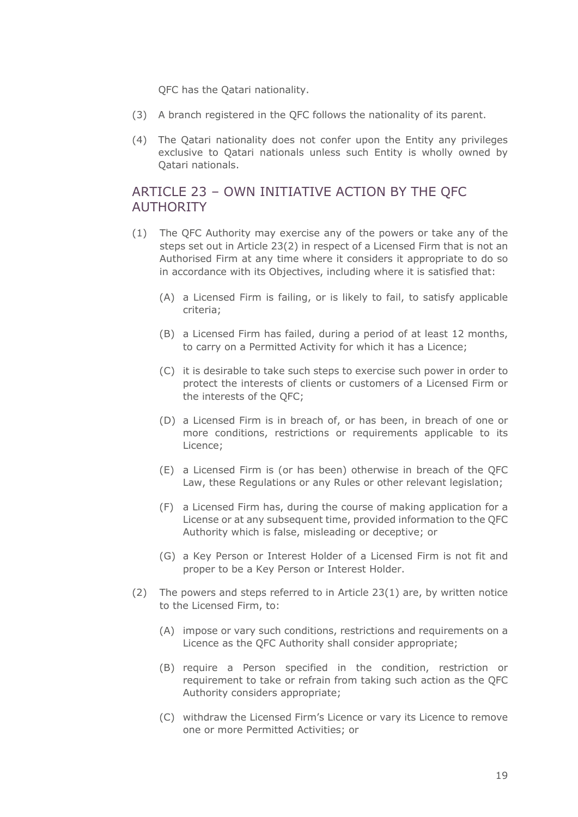QFC has the Qatari nationality.

- (3) A branch registered in the QFC follows the nationality of its parent.
- (4) The Qatari nationality does not confer upon the Entity any privileges exclusive to Qatari nationals unless such Entity is wholly owned by Qatari nationals.

## ARTICLE 23 – OWN INITIATIVE ACTION BY THE QFC AUTHORITY

- (1) The QFC Authority may exercise any of the powers or take any of the steps set out in Article 23(2) in respect of a Licensed Firm that is not an Authorised Firm at any time where it considers it appropriate to do so in accordance with its Objectives, including where it is satisfied that:
	- (A) a Licensed Firm is failing, or is likely to fail, to satisfy applicable criteria;
	- (B) a Licensed Firm has failed, during a period of at least 12 months, to carry on a Permitted Activity for which it has a Licence;
	- (C) it is desirable to take such steps to exercise such power in order to protect the interests of clients or customers of a Licensed Firm or the interests of the QFC;
	- (D) a Licensed Firm is in breach of, or has been, in breach of one or more conditions, restrictions or requirements applicable to its Licence;
	- (E) a Licensed Firm is (or has been) otherwise in breach of the QFC Law, these Regulations or any Rules or other relevant legislation;
	- (F) a Licensed Firm has, during the course of making application for a License or at any subsequent time, provided information to the QFC Authority which is false, misleading or deceptive; or
	- (G) a Key Person or Interest Holder of a Licensed Firm is not fit and proper to be a Key Person or Interest Holder.
- (2) The powers and steps referred to in Article 23(1) are, by written notice to the Licensed Firm, to:
	- (A) impose or vary such conditions, restrictions and requirements on a Licence as the QFC Authority shall consider appropriate;
	- (B) require a Person specified in the condition, restriction or requirement to take or refrain from taking such action as the QFC Authority considers appropriate;
	- (C) withdraw the Licensed Firm's Licence or vary its Licence to remove one or more Permitted Activities; or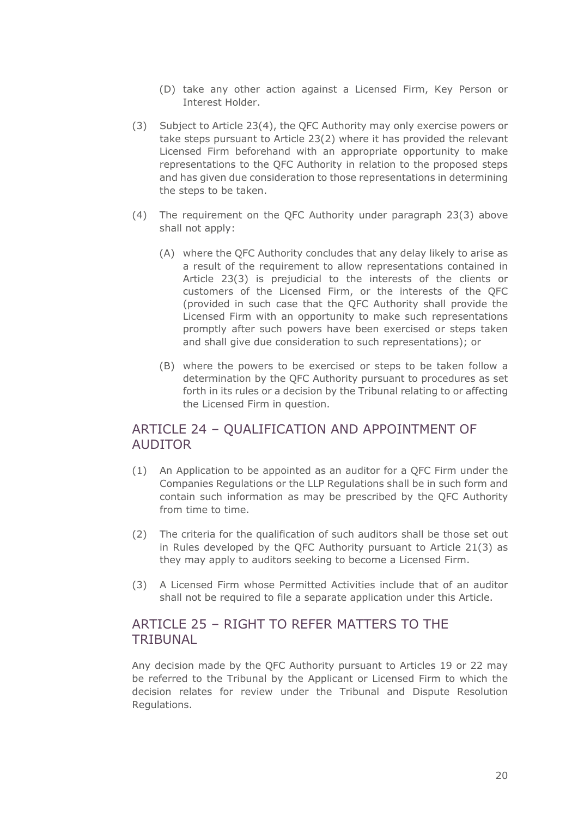- (D) take any other action against a Licensed Firm, Key Person or Interest Holder.
- (3) Subject to Article 23(4), the QFC Authority may only exercise powers or take steps pursuant to Article 23(2) where it has provided the relevant Licensed Firm beforehand with an appropriate opportunity to make representations to the QFC Authority in relation to the proposed steps and has given due consideration to those representations in determining the steps to be taken.
- (4) The requirement on the QFC Authority under paragraph 23(3) above shall not apply:
	- (A) where the QFC Authority concludes that any delay likely to arise as a result of the requirement to allow representations contained in Article 23(3) is prejudicial to the interests of the clients or customers of the Licensed Firm, or the interests of the QFC (provided in such case that the QFC Authority shall provide the Licensed Firm with an opportunity to make such representations promptly after such powers have been exercised or steps taken and shall give due consideration to such representations); or
	- (B) where the powers to be exercised or steps to be taken follow a determination by the QFC Authority pursuant to procedures as set forth in its rules or a decision by the Tribunal relating to or affecting the Licensed Firm in question.

## ARTICLE 24 – QUALIFICATION AND APPOINTMENT OF AUDITOR

- (1) An Application to be appointed as an auditor for a QFC Firm under the Companies Regulations or the LLP Regulations shall be in such form and contain such information as may be prescribed by the QFC Authority from time to time.
- (2) The criteria for the qualification of such auditors shall be those set out in Rules developed by the QFC Authority pursuant to Article 21(3) as they may apply to auditors seeking to become a Licensed Firm.
- (3) A Licensed Firm whose Permitted Activities include that of an auditor shall not be required to file a separate application under this Article.

## ARTICLE 25 – RIGHT TO REFER MATTERS TO THE **TRIBUNAL**

Any decision made by the QFC Authority pursuant to Articles 19 or 22 may be referred to the Tribunal by the Applicant or Licensed Firm to which the decision relates for review under the Tribunal and Dispute Resolution Regulations.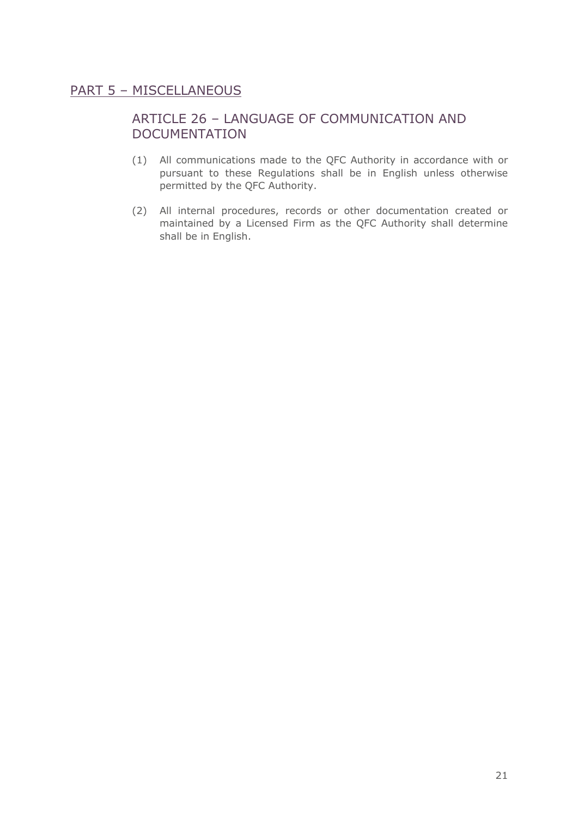## PART 5 – MISCELLANEOUS

# ARTICLE 26 – LANGUAGE OF COMMUNICATION AND DOCUMENTATION

- (1) All communications made to the QFC Authority in accordance with or pursuant to these Regulations shall be in English unless otherwise permitted by the QFC Authority.
- (2) All internal procedures, records or other documentation created or maintained by a Licensed Firm as the QFC Authority shall determine shall be in English.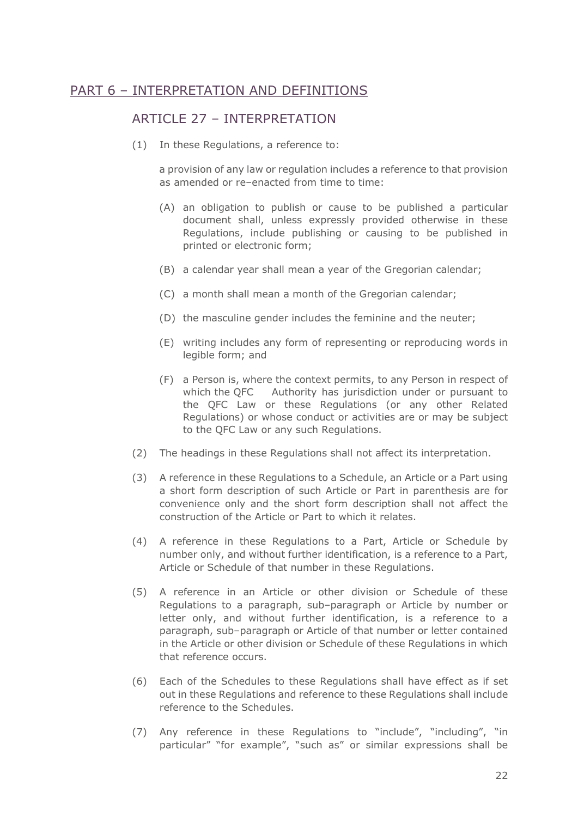## PART 6 – INTERPRETATION AND DEFINITIONS

#### ARTICLE 27 - INTERPRETATION

(1) In these Regulations, a reference to:

a provision of any law or regulation includes a reference to that provision as amended or re–enacted from time to time:

- (A) an obligation to publish or cause to be published a particular document shall, unless expressly provided otherwise in these Regulations, include publishing or causing to be published in printed or electronic form;
- (B) a calendar year shall mean a year of the Gregorian calendar;
- (C) a month shall mean a month of the Gregorian calendar;
- (D) the masculine gender includes the feminine and the neuter;
- (E) writing includes any form of representing or reproducing words in legible form; and
- (F) a Person is, where the context permits, to any Person in respect of which the QFC Authority has jurisdiction under or pursuant to the QFC Law or these Regulations (or any other Related Regulations) or whose conduct or activities are or may be subject to the QFC Law or any such Regulations.
- (2) The headings in these Regulations shall not affect its interpretation.
- (3) A reference in these Regulations to a Schedule, an Article or a Part using a short form description of such Article or Part in parenthesis are for convenience only and the short form description shall not affect the construction of the Article or Part to which it relates.
- (4) A reference in these Regulations to a Part, Article or Schedule by number only, and without further identification, is a reference to a Part, Article or Schedule of that number in these Regulations.
- (5) A reference in an Article or other division or Schedule of these Regulations to a paragraph, sub–paragraph or Article by number or letter only, and without further identification, is a reference to a paragraph, sub–paragraph or Article of that number or letter contained in the Article or other division or Schedule of these Regulations in which that reference occurs.
- (6) Each of the Schedules to these Regulations shall have effect as if set out in these Regulations and reference to these Regulations shall include reference to the Schedules.
- (7) Any reference in these Regulations to "include", "including", "in particular" "for example", "such as" or similar expressions shall be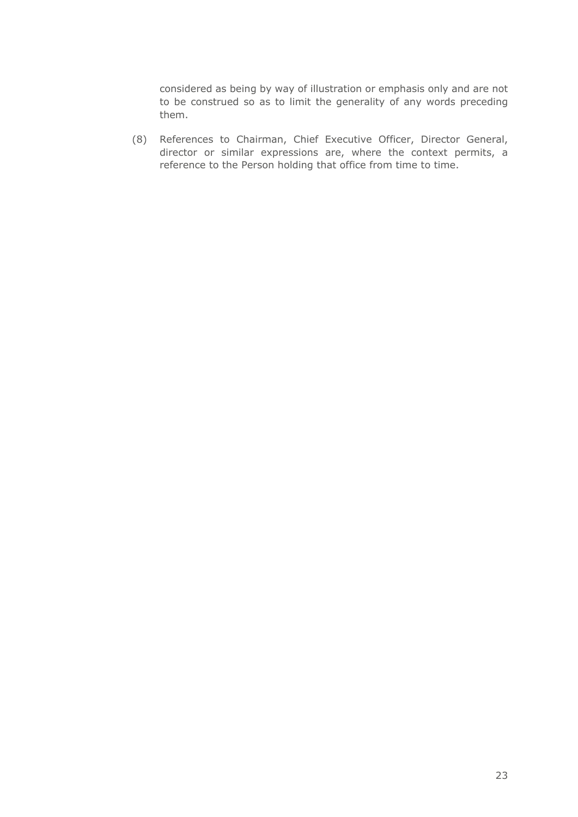considered as being by way of illustration or emphasis only and are not to be construed so as to limit the generality of any words preceding them.

(8) References to Chairman, Chief Executive Officer, Director General, director or similar expressions are, where the context permits, a reference to the Person holding that office from time to time.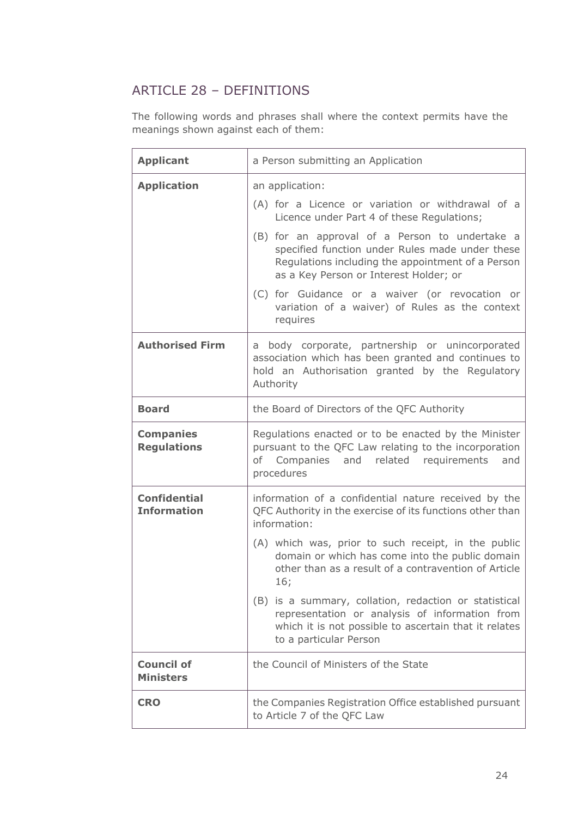# ARTICLE 28 – DEFINITIONS

The following words and phrases shall where the context permits have the meanings shown against each of them:

| <b>Applicant</b>                          | a Person submitting an Application                                                                                                                                                                                                                                                                                                                                                                                                                                                                       |
|-------------------------------------------|----------------------------------------------------------------------------------------------------------------------------------------------------------------------------------------------------------------------------------------------------------------------------------------------------------------------------------------------------------------------------------------------------------------------------------------------------------------------------------------------------------|
| <b>Application</b>                        | an application:<br>(A) for a Licence or variation or withdrawal of a<br>Licence under Part 4 of these Regulations;<br>(B) for an approval of a Person to undertake a<br>specified function under Rules made under these<br>Regulations including the appointment of a Person<br>as a Key Person or Interest Holder; or<br>(C) for Guidance or a waiver (or revocation or<br>variation of a waiver) of Rules as the context<br>requires                                                                   |
| <b>Authorised Firm</b>                    | a body corporate, partnership or unincorporated<br>association which has been granted and continues to<br>hold an Authorisation granted by the Regulatory<br>Authority                                                                                                                                                                                                                                                                                                                                   |
| <b>Board</b>                              | the Board of Directors of the QFC Authority                                                                                                                                                                                                                                                                                                                                                                                                                                                              |
| <b>Companies</b><br><b>Regulations</b>    | Regulations enacted or to be enacted by the Minister<br>pursuant to the QFC Law relating to the incorporation<br>of Companies and related requirements<br>and<br>procedures                                                                                                                                                                                                                                                                                                                              |
| <b>Confidential</b><br><b>Information</b> | information of a confidential nature received by the<br>QFC Authority in the exercise of its functions other than<br>information:<br>(A) which was, prior to such receipt, in the public<br>domain or which has come into the public domain<br>other than as a result of a contravention of Article<br>16;<br>(B) is a summary, collation, redaction or statistical<br>representation or analysis of information from<br>which it is not possible to ascertain that it relates<br>to a particular Person |
| <b>Council of</b><br><b>Ministers</b>     | the Council of Ministers of the State                                                                                                                                                                                                                                                                                                                                                                                                                                                                    |
| <b>CRO</b>                                | the Companies Registration Office established pursuant<br>to Article 7 of the QFC Law                                                                                                                                                                                                                                                                                                                                                                                                                    |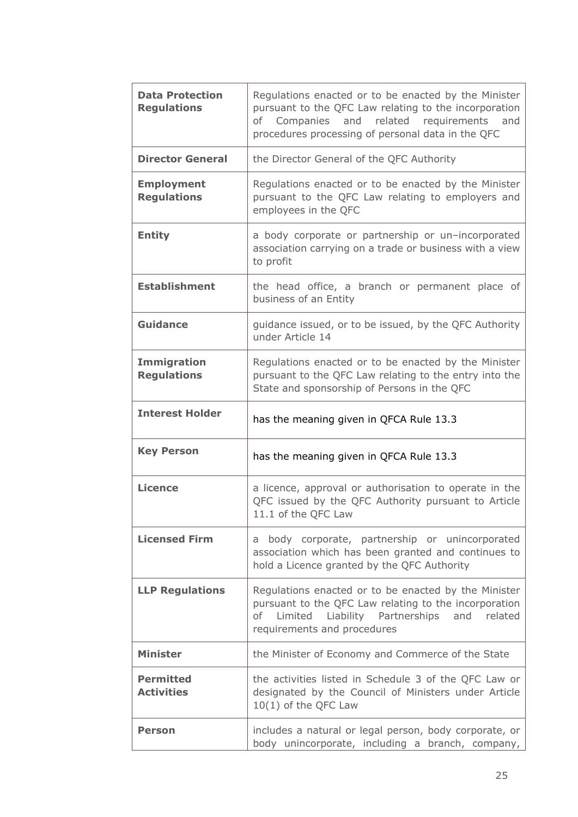| <b>Data Protection</b><br><b>Regulations</b> | Regulations enacted or to be enacted by the Minister<br>pursuant to the QFC Law relating to the incorporation<br>of Companies and related requirements<br>and<br>procedures processing of personal data in the QFC |
|----------------------------------------------|--------------------------------------------------------------------------------------------------------------------------------------------------------------------------------------------------------------------|
| <b>Director General</b>                      | the Director General of the QFC Authority                                                                                                                                                                          |
| <b>Employment</b><br><b>Regulations</b>      | Regulations enacted or to be enacted by the Minister<br>pursuant to the QFC Law relating to employers and<br>employees in the QFC                                                                                  |
| <b>Entity</b>                                | a body corporate or partnership or un-incorporated<br>association carrying on a trade or business with a view<br>to profit                                                                                         |
| <b>Establishment</b>                         | the head office, a branch or permanent place of<br>business of an Entity                                                                                                                                           |
| Guidance                                     | guidance issued, or to be issued, by the QFC Authority<br>under Article 14                                                                                                                                         |
| <b>Immigration</b><br><b>Regulations</b>     | Regulations enacted or to be enacted by the Minister<br>pursuant to the QFC Law relating to the entry into the<br>State and sponsorship of Persons in the QFC                                                      |
| <b>Interest Holder</b>                       | has the meaning given in QFCA Rule 13.3                                                                                                                                                                            |
| <b>Key Person</b>                            | has the meaning given in QFCA Rule 13.3                                                                                                                                                                            |
| <b>Licence</b>                               | a licence, approval or authorisation to operate in the<br>QFC issued by the QFC Authority pursuant to Article<br>11.1 of the QFC Law                                                                               |
| <b>Licensed Firm</b>                         | a body corporate, partnership or unincorporated<br>association which has been granted and continues to<br>hold a Licence granted by the QFC Authority                                                              |
| <b>LLP Regulations</b>                       | Regulations enacted or to be enacted by the Minister<br>pursuant to the QFC Law relating to the incorporation<br>of Limited Liability Partnerships and related<br>requirements and procedures                      |
| <b>Minister</b>                              | the Minister of Economy and Commerce of the State                                                                                                                                                                  |
| <b>Permitted</b><br><b>Activities</b>        | the activities listed in Schedule 3 of the QFC Law or<br>designated by the Council of Ministers under Article<br>10(1) of the QFC Law                                                                              |
| Person                                       | includes a natural or legal person, body corporate, or<br>body unincorporate, including a branch, company,                                                                                                         |